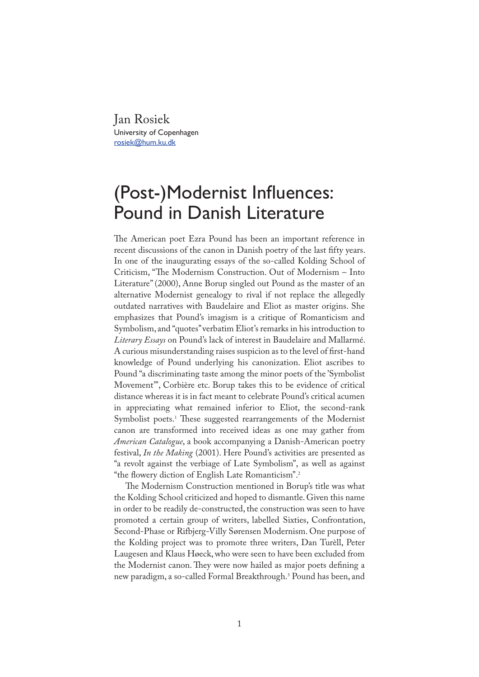Jan Rosiek University of Copenhagen rosiek@hum.ku.dk

## (Post-)Modernist Influences: Pound in Danish Literature

�e American poet Ezra Pound has been an important reference in recent discussions of the canon in Danish poetry of the last fifty years. In one of the inaugurating essays of the so-called Kolding School of Criticism, "The Modernism Construction. Out of Modernism - Into Literature" (2000), Anne Borup singled out Pound as the master of an alternative Modernist genealogy to rival if not replace the allegedly outdated narratives with Baudelaire and Eliot as master origins. She emphasizes that Pound's imagism is a critique of Romanticism and Symbolism, and "quotes" verbatim Eliot's remarks in his introduction to *Literary Essays* on Pound's lack of interest in Baudelaire and Mallarmé. A curious misunderstanding raises suspicion as to the level of first-hand knowledge of Pound underlying his canonization. Eliot ascribes to Pound "a discriminating taste among the minor poets of the 'Symbolist Movement'", Corbière etc. Borup takes this to be evidence of critical distance whereas it is in fact meant to celebrate Pound's critical acumen in appreciating what remained inferior to Eliot, the second-rank Symbolist poets.<sup>1</sup> These suggested rearrangements of the Modernist canon are transformed into received ideas as one may gather from *American Catalogue*, a book accompanying a Danish-American poetry festival, *In the Making* (2001). Here Pound's activities are presented as "a revolt against the verbiage of Late Symbolism", as well as against "the flowery diction of English Late Romanticism".<sup>2</sup>

�e Modernism Construction mentioned in Borup's title was what the Kolding School criticized and hoped to dismantle. Given this name in order to be readily de-constructed, the construction was seen to have promoted a certain group of writers, labelled Sixties, Confrontation, Second-Phase or Rifbjerg-Villy Sørensen Modernism. One purpose of the Kolding project was to promote three writers, Dan Turèll, Peter Laugesen and Klaus Høeck, who were seen to have been excluded from the Modernist canon. They were now hailed as major poets defining a new paradigm, a so-called Formal Breakthrough.<sup>3</sup> Pound has been, and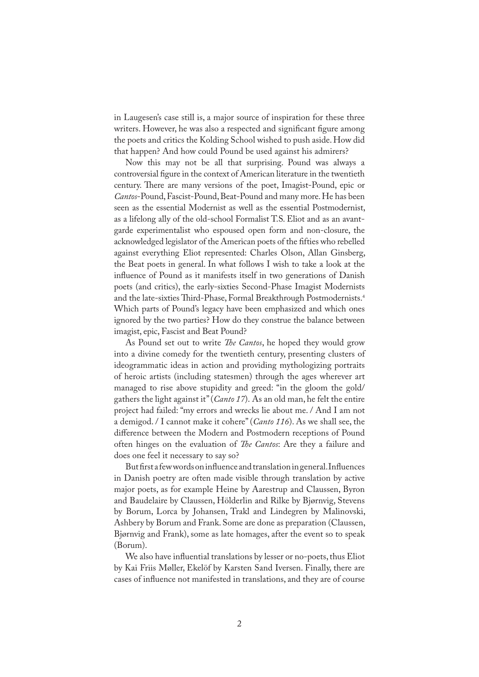in Laugesen's case still is, a major source of inspiration for these three writers. However, he was also a respected and significant figure among the poets and critics the Kolding School wished to push aside. How did that happen? And how could Pound be used against his admirers?

Now this may not be all that surprising. Pound was always a controversial �gure in the context of American literature in the twentieth century. There are many versions of the poet, Imagist-Pound, epic or *Cantos*-Pound, Fascist-Pound, Beat-Pound and many more. He has been seen as the essential Modernist as well as the essential Postmodernist, as a lifelong ally of the old-school Formalist T.S. Eliot and as an avantgarde experimentalist who espoused open form and non-closure, the acknowledged legislator of the American poets of the fifties who rebelled against everything Eliot represented: Charles Olson, Allan Ginsberg, the Beat poets in general. In what follows I wish to take a look at the influence of Pound as it manifests itself in two generations of Danish poets (and critics), the early-sixties Second-Phase Imagist Modernists and the late-sixties Third-Phase, Formal Breakthrough Postmodernists.<sup>4</sup> Which parts of Pound's legacy have been emphasized and which ones ignored by the two parties? How do they construe the balance between imagist, epic, Fascist and Beat Pound?

As Pound set out to write *�e Cantos*, he hoped they would grow into a divine comedy for the twentieth century, presenting clusters of ideogrammatic ideas in action and providing mythologizing portraits of heroic artists (including statesmen) through the ages wherever art managed to rise above stupidity and greed: "in the gloom the gold/ gathers the light against it" (*Canto 17*). As an old man, he felt the entire project had failed: "my errors and wrecks lie about me. / And I am not a demigod. / I cannot make it cohere" (*Canto 116*). As we shall see, the difference between the Modern and Postmodern receptions of Pound often hinges on the evaluation of *�e Cantos*: Are they a failure and does one feel it necessary to say so?

But first a few words on influence and translation in general. Influences in Danish poetry are often made visible through translation by active major poets, as for example Heine by Aarestrup and Claussen, Byron and Baudelaire by Claussen, Hölderlin and Rilke by Bjørnvig, Stevens by Borum, Lorca by Johansen, Trakl and Lindegren by Malinovski, Ashbery by Borum and Frank. Some are done as preparation (Claussen, Bjørnvig and Frank), some as late homages, after the event so to speak (Borum).

We also have influential translations by lesser or no-poets, thus Eliot by Kai Friis Møller, Ekelöf by Karsten Sand Iversen. Finally, there are cases of in�uence not manifested in translations, and they are of course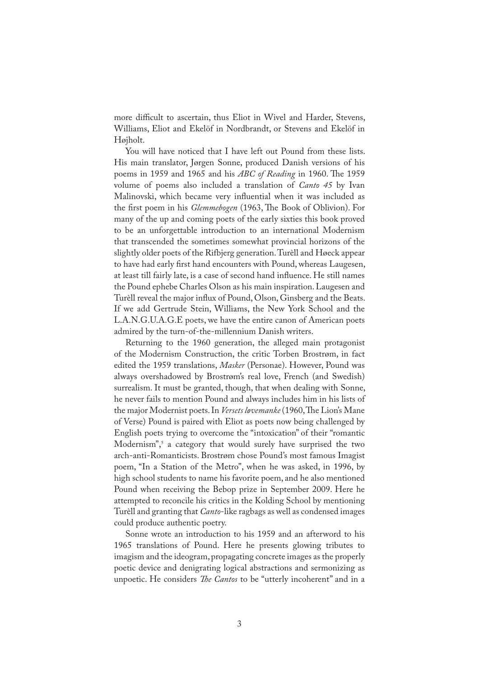more difficult to ascertain, thus Eliot in Wivel and Harder, Stevens, Williams, Eliot and Ekelöf in Nordbrandt, or Stevens and Ekelöf in Højholt.

You will have noticed that I have left out Pound from these lists. His main translator, Jørgen Sonne, produced Danish versions of his poems in 1959 and 1965 and his *ABC of Reading* in 1960. The 1959 volume of poems also included a translation of *Canto 45* by Ivan Malinovski, which became very influential when it was included as the first poem in his *Glemmebogen* (1963, The Book of Oblivion). For many of the up and coming poets of the early sixties this book proved to be an unforgettable introduction to an international Modernism that transcended the sometimes somewhat provincial horizons of the slightly older poets of the Rifbjerg generation. Turèll and Høeck appear to have had early �rst hand encounters with Pound, whereas Laugesen, at least till fairly late, is a case of second hand in�uence. He still names the Pound ephebe Charles Olson as his main inspiration. Laugesen and Turèll reveal the major influx of Pound, Olson, Ginsberg and the Beats. If we add Gertrude Stein, Williams, the New York School and the L.A.N.G.U.A.G.E poets, we have the entire canon of American poets admired by the turn-of-the-millennium Danish writers.

Returning to the 1960 generation, the alleged main protagonist of the Modernism Construction, the critic Torben Brostrøm, in fact edited the 1959 translations, *Masker* (Personae). However, Pound was always overshadowed by Brostrøm's real love, French (and Swedish) surrealism. It must be granted, though, that when dealing with Sonne, he never fails to mention Pound and always includes him in his lists of the major Modernist poets. In *Versets løvemanke* (1960, The Lion's Mane of Verse) Pound is paired with Eliot as poets now being challenged by English poets trying to overcome the "intoxication" of their "romantic Modernism",<sup>5</sup> a category that would surely have surprised the two arch-anti-Romanticists. Brostrøm chose Pound's most famous Imagist poem, "In a Station of the Metro", when he was asked, in 1996, by high school students to name his favorite poem, and he also mentioned Pound when receiving the Bebop prize in September 2009. Here he attempted to reconcile his critics in the Kolding School by mentioning Turèll and granting that *Canto*-like ragbags as well as condensed images could produce authentic poetry.

Sonne wrote an introduction to his 1959 and an afterword to his 1965 translations of Pound. Here he presents glowing tributes to imagism and the ideogram, propagating concrete images as the properly poetic device and denigrating logical abstractions and sermonizing as unpoetic. He considers *The Cantos* to be "utterly incoherent" and in a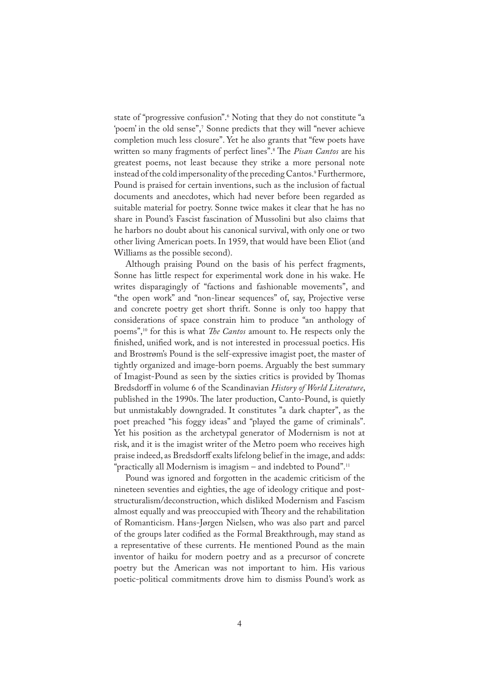state of "progressive confusion".<sup>6</sup> Noting that they do not constitute "a 'poem' in the old sense",<sup>7</sup> Sonne predicts that they will "never achieve completion much less closure". Yet he also grants that "few poets have written so many fragments of perfect lines".<sup>8</sup> �e *Pisan Cantos* are his greatest poems, not least because they strike a more personal note instead of the cold impersonality of the preceding Cantos.<sup>9</sup> Furthermore, Pound is praised for certain inventions, such as the inclusion of factual documents and anecdotes, which had never before been regarded as suitable material for poetry. Sonne twice makes it clear that he has no share in Pound's Fascist fascination of Mussolini but also claims that he harbors no doubt about his canonical survival, with only one or two other living American poets. In 1959, that would have been Eliot (and Williams as the possible second).

Although praising Pound on the basis of his perfect fragments, Sonne has little respect for experimental work done in his wake. He writes disparagingly of "factions and fashionable movements", and "the open work" and "non-linear sequences" of, say, Projective verse and concrete poetry get short thrift. Sonne is only too happy that considerations of space constrain him to produce "an anthology of poems",<sup>10</sup> for this is what *�e Cantos* amount to. He respects only the finished, unified work, and is not interested in processual poetics. His and Brostrøm's Pound is the self-expressive imagist poet, the master of tightly organized and image-born poems. Arguably the best summary of Imagist-Pound as seen by the sixties critics is provided by Thomas Bredsdorff in volume 6 of the Scandinavian *History of World Literature*, published in the 1990s. The later production, Canto-Pound, is quietly but unmistakably downgraded. It constitutes "a dark chapter", as the poet preached "his foggy ideas" and "played the game of criminals". Yet his position as the archetypal generator of Modernism is not at risk, and it is the imagist writer of the Metro poem who receives high praise indeed, as Bredsdorff exalts lifelong belief in the image, and adds: "practically all Modernism is imagism – and indebted to Pound".<sup>11</sup>

Pound was ignored and forgotten in the academic criticism of the nineteen seventies and eighties, the age of ideology critique and poststructuralism/deconstruction, which disliked Modernism and Fascism almost equally and was preoccupied with Theory and the rehabilitation of Romanticism. Hans-Jørgen Nielsen, who was also part and parcel of the groups later codified as the Formal Breakthrough, may stand as a representative of these currents. He mentioned Pound as the main inventor of haiku for modern poetry and as a precursor of concrete poetry but the American was not important to him. His various poetic-political commitments drove him to dismiss Pound's work as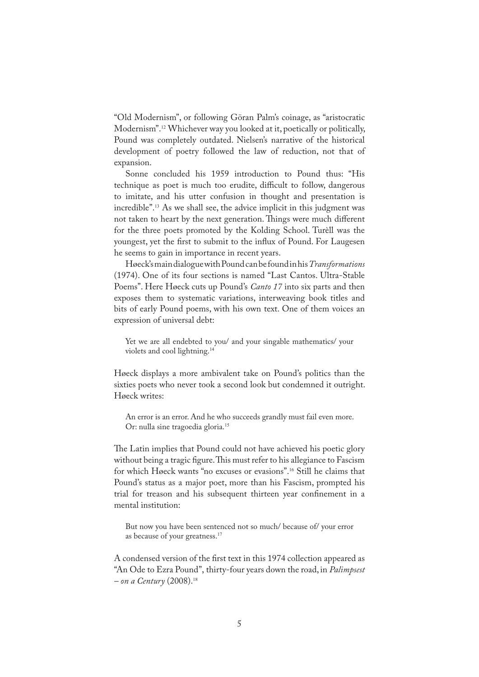"Old Modernism", or following Göran Palm's coinage, as "aristocratic Modernism".<sup>12</sup> Whichever way you looked at it, poetically or politically, Pound was completely outdated. Nielsen's narrative of the historical development of poetry followed the law of reduction, not that of expansion.

Sonne concluded his 1959 introduction to Pound thus: "His technique as poet is much too erudite, difficult to follow, dangerous to imitate, and his utter confusion in thought and presentation is incredible".<sup>13</sup> As we shall see, the advice implicit in this judgment was not taken to heart by the next generation. Things were much different for the three poets promoted by the Kolding School. Turèll was the youngest, yet the first to submit to the influx of Pound. For Laugesen he seems to gain in importance in recent years.

Høeck's main dialogue with Pound can be found in his *Transformations* (1974). One of its four sections is named "Last Cantos. Ultra-Stable Poems". Here Høeck cuts up Pound's *Canto 17* into six parts and then exposes them to systematic variations, interweaving book titles and bits of early Pound poems, with his own text. One of them voices an expression of universal debt:

Yet we are all endebted to you/ and your singable mathematics/ your violets and cool lightning.<sup>14</sup>

Høeck displays a more ambivalent take on Pound's politics than the sixties poets who never took a second look but condemned it outright. Høeck writes:

An error is an error. And he who succeeds grandly must fail even more. Or: nulla sine tragoedia gloria.<sup>15</sup>

The Latin implies that Pound could not have achieved his poetic glory without being a tragic figure. This must refer to his allegiance to Fascism for which Høeck wants "no excuses or evasions".<sup>16</sup> Still he claims that Pound's status as a major poet, more than his Fascism, prompted his trial for treason and his subsequent thirteen year con�nement in a mental institution:

But now you have been sentenced not so much/ because of/ your error as because of your greatness.<sup>17</sup>

A condensed version of the first text in this 1974 collection appeared as "An Ode to Ezra Pound", thirty-four years down the road, in *Palimpsest – on a Century* (2008).<sup>18</sup>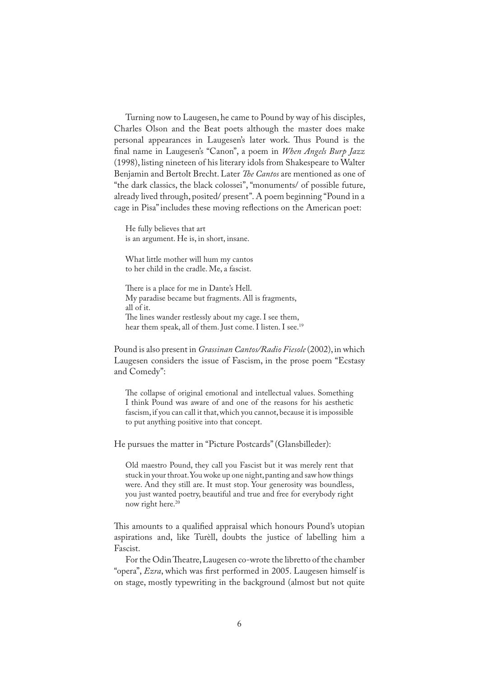Turning now to Laugesen, he came to Pound by way of his disciples, Charles Olson and the Beat poets although the master does make personal appearances in Laugesen's later work. Thus Pound is the �nal name in Laugesen's "Canon", a poem in *When Angels Burp Jazz* (1998), listing nineteen of his literary idols from Shakespeare to Walter Benjamin and Bertolt Brecht. Later *�e Cantos* are mentioned as one of "the dark classics, the black colossei", "monuments/ of possible future, already lived through, posited/ present". A poem beginning "Pound in a cage in Pisa" includes these moving reflections on the American poet:

He fully believes that art is an argument. He is, in short, insane.

What little mother will hum my cantos to her child in the cradle. Me, a fascist.

There is a place for me in Dante's Hell. My paradise became but fragments. All is fragments, all of it. The lines wander restlessly about my cage. I see them, hear them speak, all of them. Just come. I listen. I see.<sup>19</sup>

Pound is also present in *Grassinan Cantos/Radio Fiesole* (2002), in which Laugesen considers the issue of Fascism, in the prose poem "Ecstasy and Comedy":

�e collapse of original emotional and intellectual values. Something I think Pound was aware of and one of the reasons for his aesthetic fascism, if you can call it that, which you cannot, because it is impossible to put anything positive into that concept.

He pursues the matter in "Picture Postcards" (Glansbilleder):

Old maestro Pound, they call you Fascist but it was merely rent that stuck in your throat. You woke up one night, panting and saw how things were. And they still are. It must stop. Your generosity was boundless, you just wanted poetry, beautiful and true and free for everybody right now right here.<sup>20</sup>

This amounts to a qualified appraisal which honours Pound's utopian aspirations and, like Turèll, doubts the justice of labelling him a Fascist.

For the Odin Theatre, Laugesen co-wrote the libretto of the chamber "opera", *Ezra*, which was �rst performed in 2005. Laugesen himself is on stage, mostly typewriting in the background (almost but not quite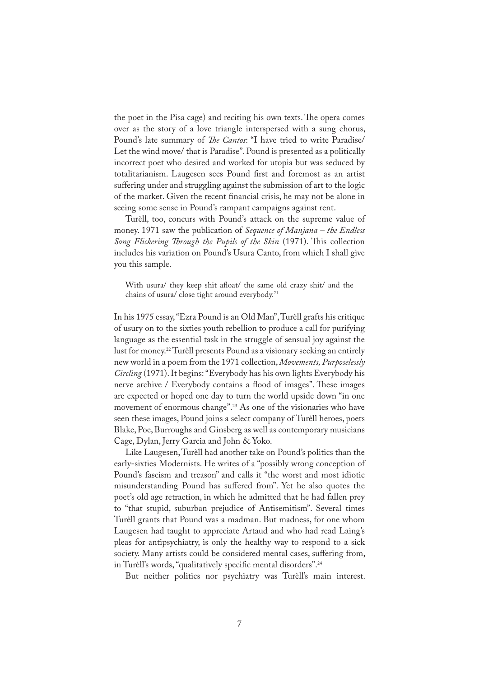the poet in the Pisa cage) and reciting his own texts. The opera comes over as the story of a love triangle interspersed with a sung chorus, Pound's late summary of *�e Cantos*: "I have tried to write Paradise/ Let the wind move/ that is Paradise". Pound is presented as a politically incorrect poet who desired and worked for utopia but was seduced by totalitarianism. Laugesen sees Pound first and foremost as an artist suffering under and struggling against the submission of art to the logic of the market. Given the recent �nancial crisis, he may not be alone in seeing some sense in Pound's rampant campaigns against rent.

Turèll, too, concurs with Pound's attack on the supreme value of money. 1971 saw the publication of *Sequence of Manjana – the Endless*  Song Flickering Through the Pupils of the Skin (1971). This collection includes his variation on Pound's Usura Canto, from which I shall give you this sample.

With usura/ they keep shit afloat/ the same old crazy shit/ and the chains of usura/ close tight around everybody.<sup>21</sup>

In his 1975 essay, "Ezra Pound is an Old Man", Turèll grafts his critique of usury on to the sixties youth rebellion to produce a call for purifying language as the essential task in the struggle of sensual joy against the lust for money.<sup>22</sup> Turèll presents Pound as a visionary seeking an entirely new world in a poem from the 1971 collection, *Movements, Purposelessly Circling* (1971). It begins: "Everybody has his own lights Everybody his nerve archive / Everybody contains a flood of images". These images are expected or hoped one day to turn the world upside down "in one movement of enormous change".<sup>23</sup> As one of the visionaries who have seen these images, Pound joins a select company of Turèll heroes, poets Blake, Poe, Burroughs and Ginsberg as well as contemporary musicians Cage, Dylan, Jerry Garcia and John & Yoko.

Like Laugesen, Turèll had another take on Pound's politics than the early-sixties Modernists. He writes of a "possibly wrong conception of Pound's fascism and treason" and calls it "the worst and most idiotic misunderstanding Pound has suffered from". Yet he also quotes the poet's old age retraction, in which he admitted that he had fallen prey to "that stupid, suburban prejudice of Antisemitism". Several times Turèll grants that Pound was a madman. But madness, for one whom Laugesen had taught to appreciate Artaud and who had read Laing's pleas for antipsychiatry, is only the healthy way to respond to a sick society. Many artists could be considered mental cases, suffering from, in Turèll's words, "qualitatively specific mental disorders".<sup>24</sup>

But neither politics nor psychiatry was Turèll's main interest.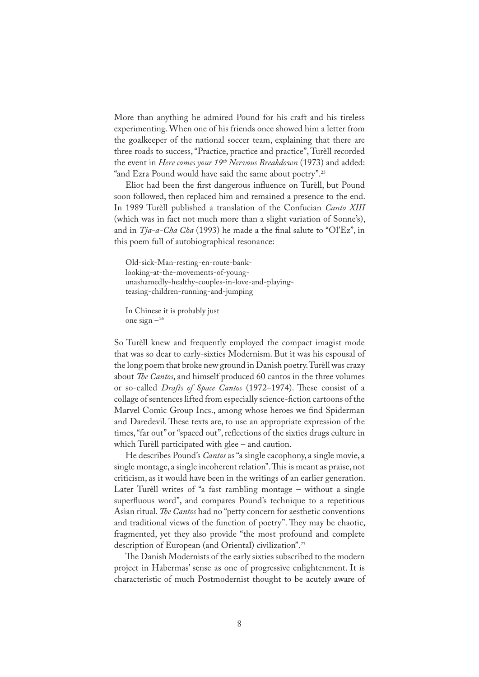More than anything he admired Pound for his craft and his tireless experimenting. When one of his friends once showed him a letter from the goalkeeper of the national soccer team, explaining that there are three roads to success, "Practice, practice and practice", Turèll recorded the event in *Here comes your 19th Nervous Breakdown* (1973) and added: "and Ezra Pound would have said the same about poetry".<sup>25</sup>

Eliot had been the first dangerous influence on Turèll, but Pound soon followed, then replaced him and remained a presence to the end. In 1989 Turèll published a translation of the Confucian *Canto XIII* (which was in fact not much more than a slight variation of Sonne's), and in *Tja-a-Cha Cha* (1993) he made a the final salute to "Ol'Ez", in this poem full of autobiographical resonance:

Old-sick-Man-resting-en-route-banklooking-at-the-movements-of-youngunashamedly-healthy-couples-in-love-and-playingteasing-children-running-and-jumping

In Chinese it is probably just one sign  $-26$ 

So Turèll knew and frequently employed the compact imagist mode that was so dear to early-sixties Modernism. But it was his espousal of the long poem that broke new ground in Danish poetry. Turèll was crazy about *�e Cantos*, and himself produced 60 cantos in the three volumes or so-called *Drafts of Space Cantos* (1972–1974). These consist of a collage of sentences lifted from especially science-�ction cartoons of the Marvel Comic Group Incs., among whose heroes we find Spiderman and Daredevil. These texts are, to use an appropriate expression of the times, "far out" or "spaced out", reflections of the sixties drugs culture in which Turèll participated with glee – and caution.

He describes Pound's *Cantos* as "a single cacophony, a single movie, a single montage, a single incoherent relation". This is meant as praise, not criticism, as it would have been in the writings of an earlier generation. Later Turèll writes of "a fast rambling montage – without a single superfluous word", and compares Pound's technique to a repetitious Asian ritual. *�e Cantos* had no "petty concern for aesthetic conventions and traditional views of the function of poetry". They may be chaotic, fragmented, yet they also provide "the most profound and complete description of European (and Oriental) civilization".<sup>27</sup>

�e Danish Modernists of the early sixties subscribed to the modern project in Habermas' sense as one of progressive enlightenment. It is characteristic of much Postmodernist thought to be acutely aware of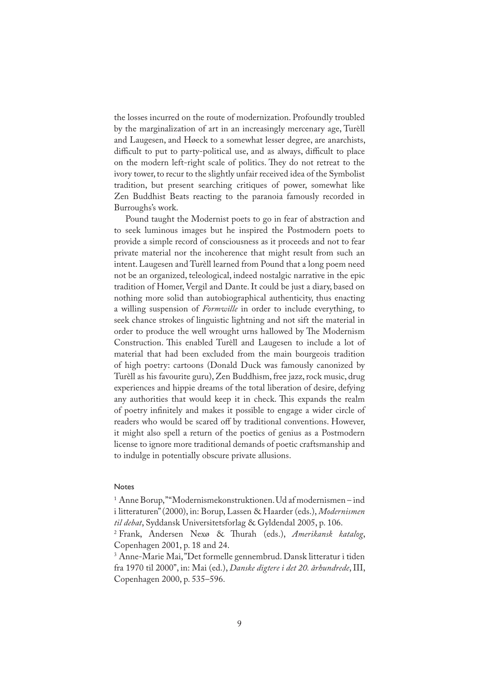the losses incurred on the route of modernization. Profoundly troubled by the marginalization of art in an increasingly mercenary age, Turèll and Laugesen, and Høeck to a somewhat lesser degree, are anarchists, difficult to put to party-political use, and as always, difficult to place on the modern left-right scale of politics. They do not retreat to the ivory tower, to recur to the slightly unfair received idea of the Symbolist tradition, but present searching critiques of power, somewhat like Zen Buddhist Beats reacting to the paranoia famously recorded in Burroughs's work.

Pound taught the Modernist poets to go in fear of abstraction and to seek luminous images but he inspired the Postmodern poets to provide a simple record of consciousness as it proceeds and not to fear private material nor the incoherence that might result from such an intent. Laugesen and Turèll learned from Pound that a long poem need not be an organized, teleological, indeed nostalgic narrative in the epic tradition of Homer, Vergil and Dante. It could be just a diary, based on nothing more solid than autobiographical authenticity, thus enacting a willing suspension of *Formwille* in order to include everything, to seek chance strokes of linguistic lightning and not sift the material in order to produce the well wrought urns hallowed by The Modernism Construction. This enabled Turèll and Laugesen to include a lot of material that had been excluded from the main bourgeois tradition of high poetry: cartoons (Donald Duck was famously canonized by Turèll as his favourite guru), Zen Buddhism, free jazz, rock music, drug experiences and hippie dreams of the total liberation of desire, defying any authorities that would keep it in check. This expands the realm of poetry in�nitely and makes it possible to engage a wider circle of readers who would be scared off by traditional conventions. However, it might also spell a return of the poetics of genius as a Postmodern license to ignore more traditional demands of poetic craftsmanship and to indulge in potentially obscure private allusions.

## Notes

1 Anne Borup, " "Modernismekonstruktionen. Ud af modernismen – ind i litteraturen" (2000), in: Borup, Lassen & Haarder (eds.), *Modernismen til debat*, Syddansk Universitetsforlag & Gyldendal 2005, p. 106.

3 Anne-Marie Mai, "Det formelle gennembrud. Dansk litteratur i tiden fra 1970 til 2000", in: Mai (ed.), *Danske digtere i det 20. århundrede*, III, Copenhagen 2000, p. 535–596.

<sup>&</sup>lt;sup>2</sup> Frank, Andersen Nexø & Thurah (eds.), *Amerikansk katalog*, Copenhagen 2001, p. 18 and 24.